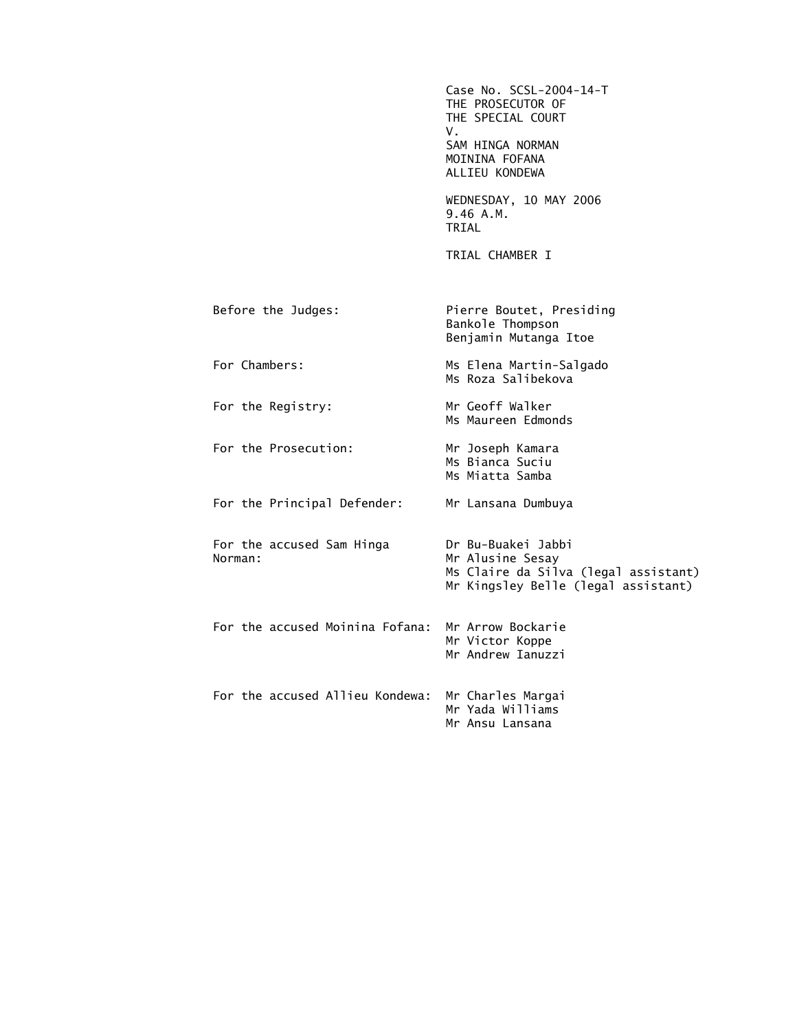|                                      | Case No. SCSL-2004-14-T<br>THE PROSECUTOR OF<br>THE SPECIAL COURT<br>V.<br>SAM HINGA NORMAN<br>MOININA FOFANA<br>ALLIEU KONDEWA |
|--------------------------------------|---------------------------------------------------------------------------------------------------------------------------------|
|                                      | WEDNESDAY, 10 MAY 2006<br>9.46A.M.<br>TRIAL                                                                                     |
|                                      | TRIAL CHAMBER I                                                                                                                 |
| Before the Judges:                   | Pierre Boutet, Presiding<br>Bankole Thompson<br>Benjamin Mutanga Itoe                                                           |
| For Chambers:                        | Ms Elena Martin-Salgado<br>Ms Roza Salibekova                                                                                   |
| For the Registry:                    | Mr Geoff Walker<br>Ms Maureen Edmonds                                                                                           |
| For the Prosecution:                 | Mr Joseph Kamara<br>Ms Bianca Suciu<br>Ms Miatta Samba                                                                          |
| For the Principal Defender:          | Mr Lansana Dumbuya                                                                                                              |
| For the accused Sam Hinga<br>Norman: | Dr Bu-Buakei Jabbi<br>Mr Alusine Sesay<br>Ms Claire da Silva (legal assistant)<br>Mr Kingsley Belle (legal assistant)           |
| For the accused Moinina Fofana:      | Mr Arrow Bockarie<br>Mr Victor Koppe<br>Mr Andrew Ianuzzi                                                                       |
| For the accused Allieu Kondewa:      | Mr Charles Margai<br>Mr Yada Williams<br>Mr Ansu Lansana                                                                        |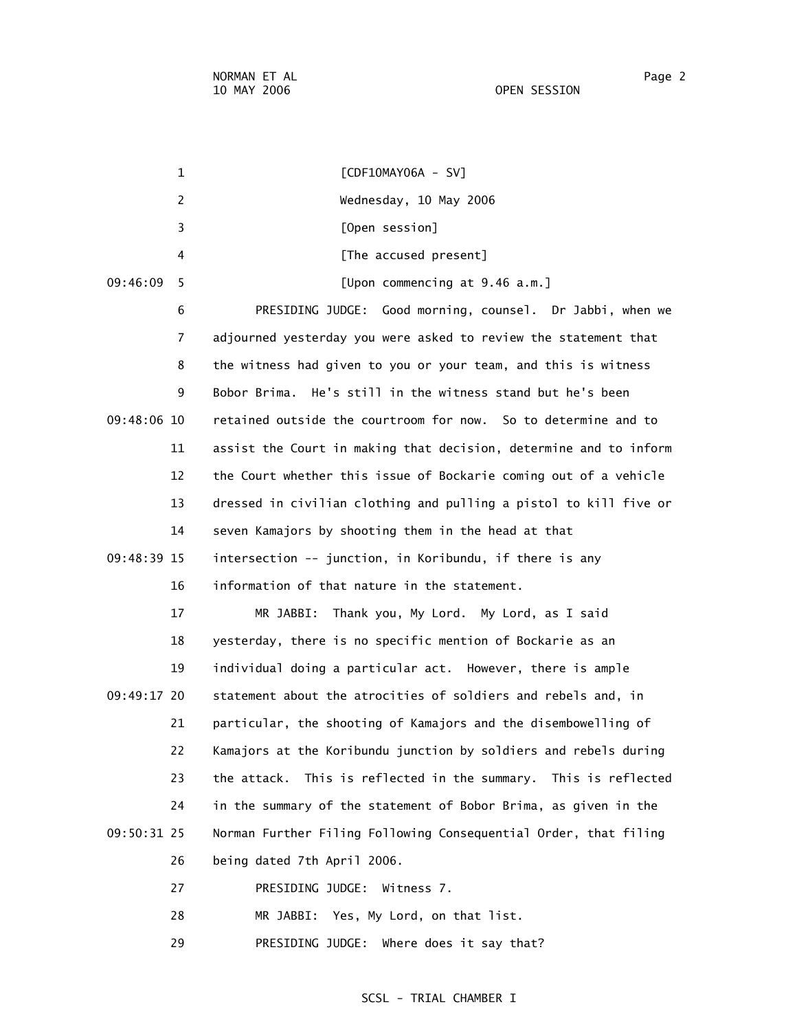1 [CDF10MAY06A - SV] 2 Wednesday, 10 May 2006 3 [Open session] 4 **A EXECUSE [The accused present]**  09:46:09 5 [Upon commencing at 9.46 a.m.] 6 PRESIDING JUDGE: Good morning, counsel. Dr Jabbi, when we 7 adjourned yesterday you were asked to review the statement that 8 the witness had given to you or your team, and this is witness 9 Bobor Brima. He's still in the witness stand but he's been 09:48:06 10 retained outside the courtroom for now. So to determine and to 11 assist the Court in making that decision, determine and to inform 12 the Court whether this issue of Bockarie coming out of a vehicle 13 dressed in civilian clothing and pulling a pistol to kill five or 14 seven Kamajors by shooting them in the head at that 09:48:39 15 intersection -- junction, in Koribundu, if there is any 16 information of that nature in the statement. 17 MR JABBI: Thank you, My Lord. My Lord, as I said 18 yesterday, there is no specific mention of Bockarie as an 19 individual doing a particular act. However, there is ample 09:49:17 20 statement about the atrocities of soldiers and rebels and, in 21 particular, the shooting of Kamajors and the disembowelling of 22 Kamajors at the Koribundu junction by soldiers and rebels during 23 the attack. This is reflected in the summary. This is reflected 24 in the summary of the statement of Bobor Brima, as given in the 09:50:31 25 Norman Further Filing Following Consequential Order, that filing 26 being dated 7th April 2006. 27 PRESIDING JUDGE: Witness 7. 28 MR JABBI: Yes, My Lord, on that list. 29 PRESIDING JUDGE: Where does it say that?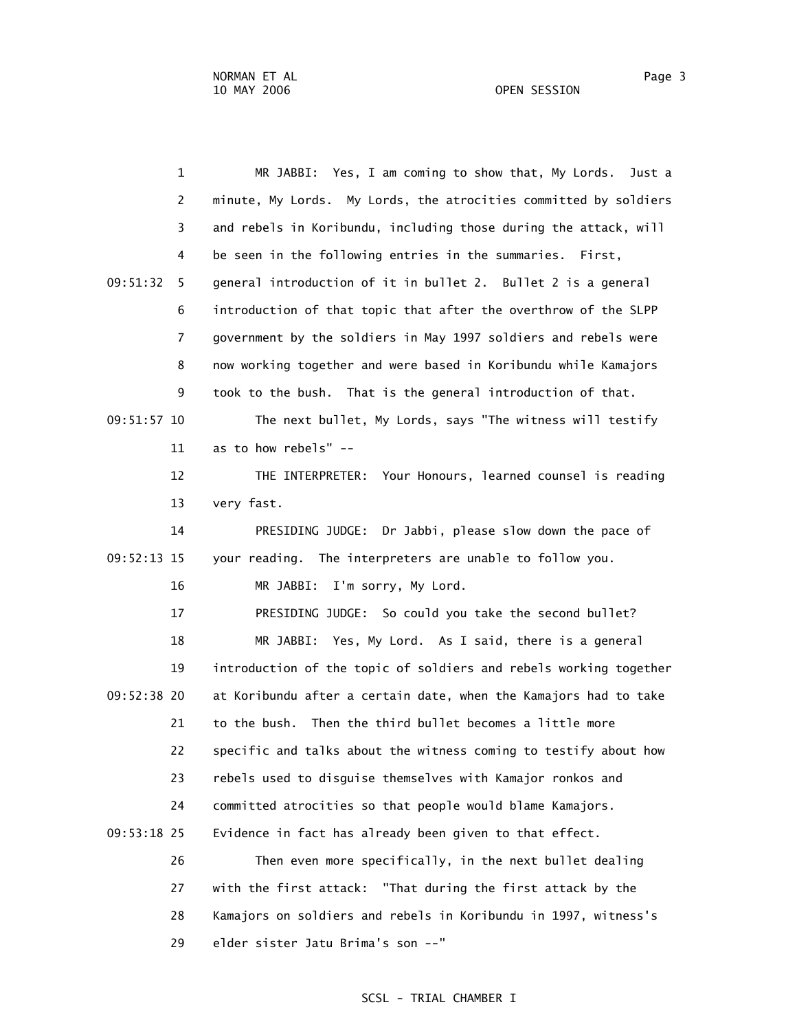| 1              | MR JABBI: Yes, I am coming to show that, My Lords.<br>Just a      |
|----------------|-------------------------------------------------------------------|
| $\overline{2}$ | minute, My Lords. My Lords, the atrocities committed by soldiers  |
| 3              | and rebels in Koribundu, including those during the attack, will  |
| 4              | be seen in the following entries in the summaries. First,         |
| 09:51:32<br>5. | general introduction of it in bullet 2. Bullet 2 is a general     |
| 6              | introduction of that topic that after the overthrow of the SLPP   |
| $\overline{7}$ | government by the soldiers in May 1997 soldiers and rebels were   |
| 8              | now working together and were based in Koribundu while Kamajors   |
| 9              | took to the bush. That is the general introduction of that.       |
| 09:51:57 10    | The next bullet, My Lords, says "The witness will testify         |
| 11             | as to how rebels" --                                              |
| 12             | THE INTERPRETER: Your Honours, learned counsel is reading         |
| 13             | very fast.                                                        |
| 14             | PRESIDING JUDGE: Dr Jabbi, please slow down the pace of           |
| 09:52:13 15    | your reading. The interpreters are unable to follow you.          |
| 16             | I'm sorry, My Lord.<br>MR JABBI:                                  |
| 17             | PRESIDING JUDGE: So could you take the second bullet?             |
| 18             | MR JABBI: Yes, My Lord. As I said, there is a general             |
| 19             | introduction of the topic of soldiers and rebels working together |
| 09:52:38 20    | at Koribundu after a certain date, when the Kamajors had to take  |
| 21             | to the bush. Then the third bullet becomes a little more          |
| 22             | specific and talks about the witness coming to testify about how  |
| 23             | rebels used to disguise themselves with Kamajor ronkos and        |
| 24             | committed atrocities so that people would blame Kamajors.         |
| 09:53:18 25    | Evidence in fact has already been given to that effect.           |
| 26             | Then even more specifically, in the next bullet dealing           |
| 27             | with the first attack: "That during the first attack by the       |
| 28             | Kamajors on soldiers and rebels in Koribundu in 1997, witness's   |
| 29             | elder sister Jatu Brima's son --"                                 |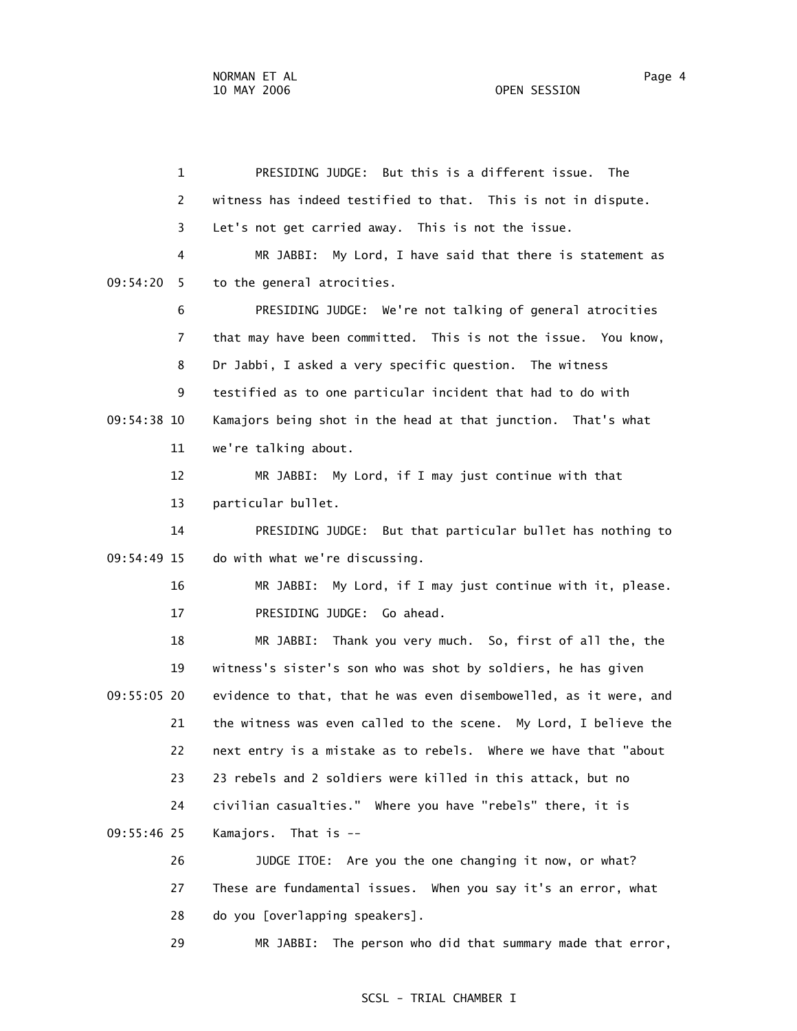1 PRESIDING JUDGE: But this is a different issue. The 2 witness has indeed testified to that. This is not in dispute. 3 Let's not get carried away. This is not the issue. 4 MR JABBI: My Lord, I have said that there is statement as 09:54:20 5 to the general atrocities. 6 PRESIDING JUDGE: We're not talking of general atrocities 7 that may have been committed. This is not the issue. You know, 8 Dr Jabbi, I asked a very specific question. The witness 9 testified as to one particular incident that had to do with 09:54:38 10 Kamajors being shot in the head at that junction. That's what 11 we're talking about. 12 MR JABBI: My Lord, if I may just continue with that 13 particular bullet. 14 PRESIDING JUDGE: But that particular bullet has nothing to 09:54:49 15 do with what we're discussing. 16 MR JABBI: My Lord, if I may just continue with it, please. 17 PRESIDING JUDGE: Go ahead. 18 MR JABBI: Thank you very much. So, first of all the, the 19 witness's sister's son who was shot by soldiers, he has given 09:55:05 20 evidence to that, that he was even disembowelled, as it were, and 21 the witness was even called to the scene. My Lord, I believe the 22 next entry is a mistake as to rebels. Where we have that "about 23 23 rebels and 2 soldiers were killed in this attack, but no 24 civilian casualties." Where you have "rebels" there, it is 09:55:46 25 Kamajors. That is -- 26 JUDGE ITOE: Are you the one changing it now, or what? 27 These are fundamental issues. When you say it's an error, what 28 do you [overlapping speakers].

29 MR JABBI: The person who did that summary made that error,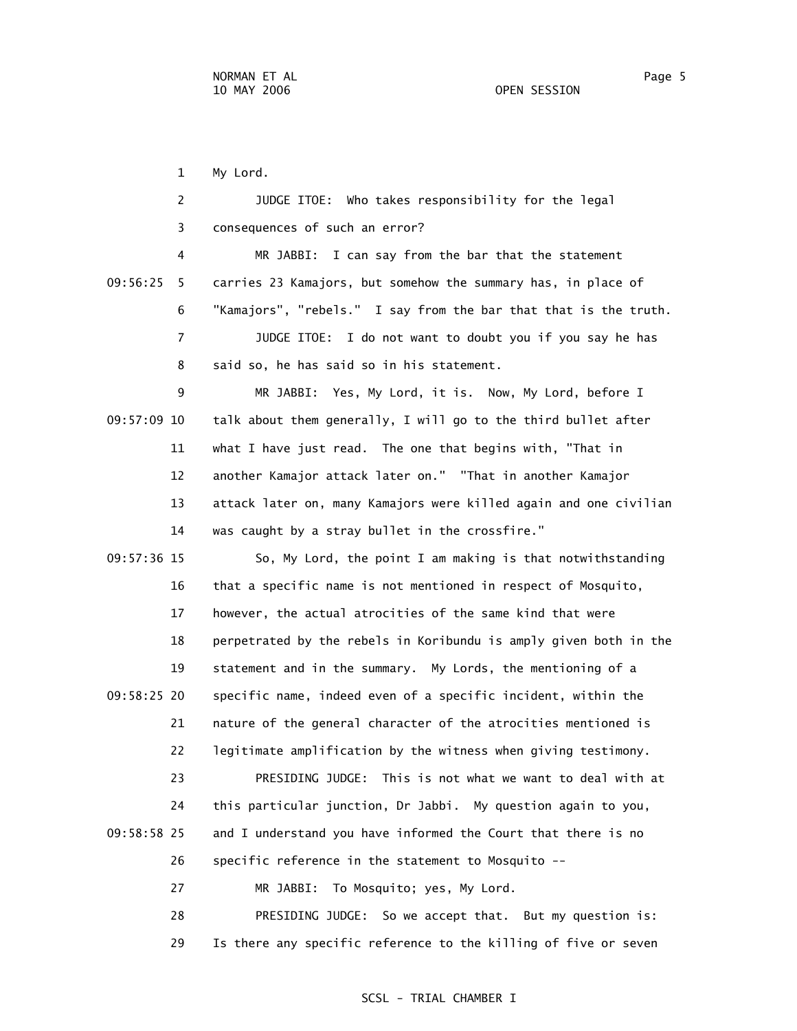1 My Lord.

|             | $\overline{2}$ | JUDGE ITOE: Who takes responsibility for the legal                |
|-------------|----------------|-------------------------------------------------------------------|
|             | 3              | consequences of such an error?                                    |
|             | 4              | MR JABBI: I can say from the bar that the statement               |
| 09:56:25    | 5              | carries 23 Kamajors, but somehow the summary has, in place of     |
|             | 6              | "Kamajors", "rebels." I say from the bar that that is the truth.  |
|             | 7              | JUDGE ITOE: I do not want to doubt you if you say he has          |
|             | 8              | said so, he has said so in his statement.                         |
|             | 9              | MR JABBI: Yes, My Lord, it is. Now, My Lord, before I             |
| 09:57:09 10 |                | talk about them generally, I will go to the third bullet after    |
|             | 11             | what I have just read. The one that begins with, "That in         |
|             | 12             | another Kamajor attack later on." "That in another Kamajor        |
|             | 13             | attack later on, many Kamajors were killed again and one civilian |
|             | 14             | was caught by a stray bullet in the crossfire."                   |
| 09:57:36 15 |                | So, My Lord, the point I am making is that notwithstanding        |
|             | 16             | that a specific name is not mentioned in respect of Mosquito,     |
|             | 17             | however, the actual atrocities of the same kind that were         |
|             | 18             | perpetrated by the rebels in Koribundu is amply given both in the |
|             | 19             | statement and in the summary. My Lords, the mentioning of a       |
| 09:58:25 20 |                | specific name, indeed even of a specific incident, within the     |
|             | 21             | nature of the general character of the atrocities mentioned is    |
|             | 22             | legitimate amplification by the witness when giving testimony.    |
|             | 23             | PRESIDING JUDGE: This is not what we want to deal with at         |
|             | 24             | this particular junction, Dr Jabbi. My question again to you,     |
| 09:58:58 25 |                | and I understand you have informed the Court that there is no     |
|             | 26             | specific reference in the statement to Mosquito --                |
|             | 27             | To Mosquito; yes, My Lord.<br>MR JABBI:                           |
|             | 28             | PRESIDING JUDGE: So we accept that. But my question is:           |

29 Is there any specific reference to the killing of five or seven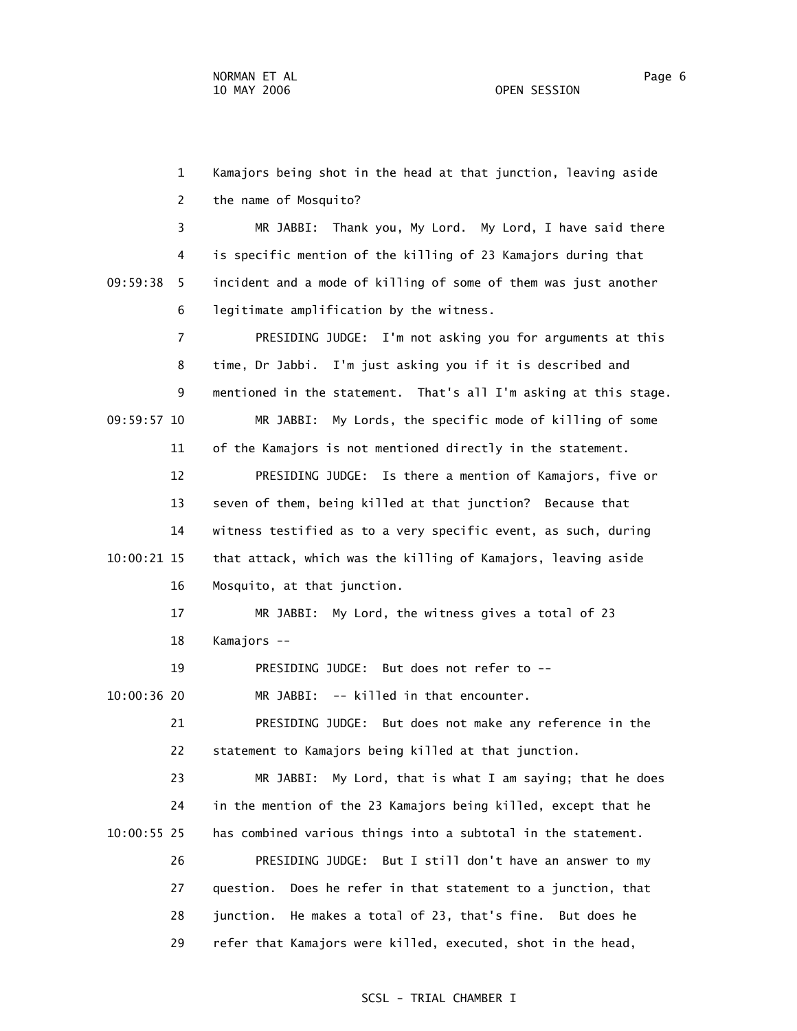1 Kamajors being shot in the head at that junction, leaving aside 2 the name of Mosquito? 3 MR JABBI: Thank you, My Lord. My Lord, I have said there 4 is specific mention of the killing of 23 Kamajors during that 09:59:38 5 incident and a mode of killing of some of them was just another 6 legitimate amplification by the witness. 7 PRESIDING JUDGE: I'm not asking you for arguments at this 8 time, Dr Jabbi. I'm just asking you if it is described and 9 mentioned in the statement. That's all I'm asking at this stage. 09:59:57 10 MR JABBI: My Lords, the specific mode of killing of some 11 of the Kamajors is not mentioned directly in the statement. 12 PRESIDING JUDGE: Is there a mention of Kamajors, five or 13 seven of them, being killed at that junction? Because that 14 witness testified as to a very specific event, as such, during 10:00:21 15 that attack, which was the killing of Kamajors, leaving aside 16 Mosquito, at that junction. 17 MR JABBI: My Lord, the witness gives a total of 23 18 Kamajors -- 19 PRESIDING JUDGE: But does not refer to -- 10:00:36 20 MR JABBI: -- killed in that encounter. 21 PRESIDING JUDGE: But does not make any reference in the 22 statement to Kamajors being killed at that junction. 23 MR JABBI: My Lord, that is what I am saying; that he does 24 in the mention of the 23 Kamajors being killed, except that he 10:00:55 25 has combined various things into a subtotal in the statement. 26 PRESIDING JUDGE: But I still don't have an answer to my 27 question. Does he refer in that statement to a junction, that 28 junction. He makes a total of 23, that's fine. But does he 29 refer that Kamajors were killed, executed, shot in the head,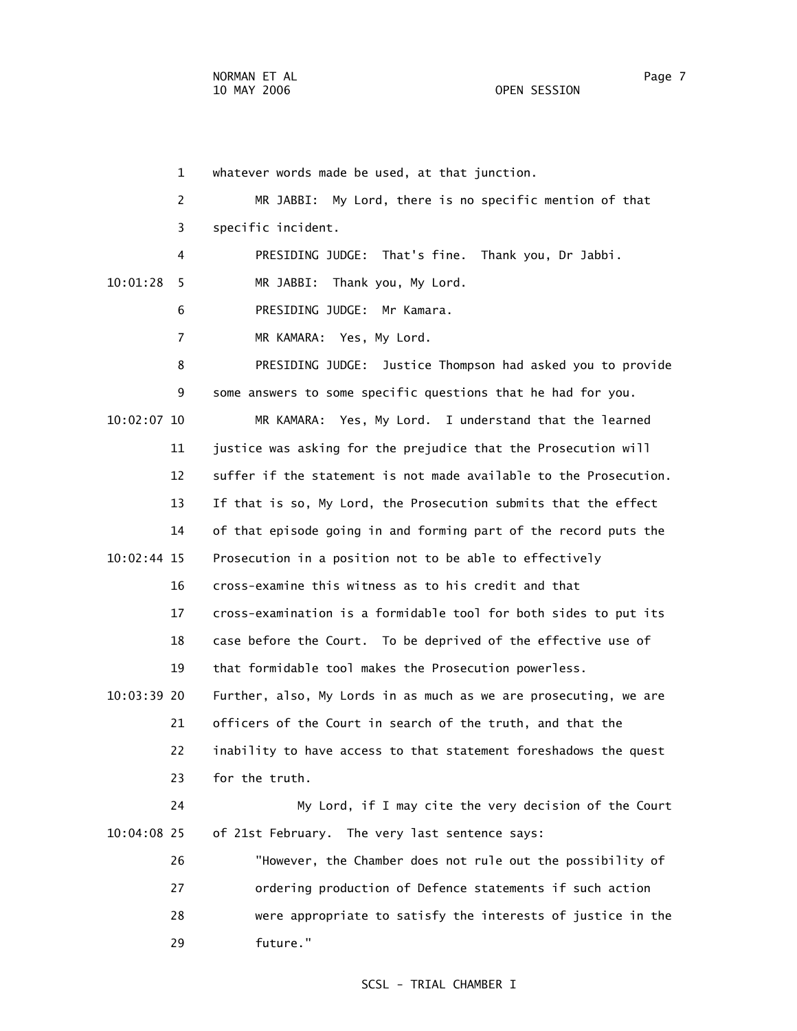1 whatever words made be used, at that junction. 2 MR JABBI: My Lord, there is no specific mention of that 3 specific incident. 4 PRESIDING JUDGE: That's fine. Thank you, Dr Jabbi. 10:01:28 5 MR JABBI: Thank you, My Lord. 6 PRESIDING JUDGE: Mr Kamara. 7 MR KAMARA: Yes, My Lord. 8 PRESIDING JUDGE: Justice Thompson had asked you to provide 9 some answers to some specific questions that he had for you. 10:02:07 10 MR KAMARA: Yes, My Lord. I understand that the learned 11 justice was asking for the prejudice that the Prosecution will 12 suffer if the statement is not made available to the Prosecution. 13 If that is so, My Lord, the Prosecution submits that the effect 14 of that episode going in and forming part of the record puts the 10:02:44 15 Prosecution in a position not to be able to effectively 16 cross-examine this witness as to his credit and that 17 cross-examination is a formidable tool for both sides to put its 18 case before the Court. To be deprived of the effective use of 19 that formidable tool makes the Prosecution powerless. 10:03:39 20 Further, also, My Lords in as much as we are prosecuting, we are 21 officers of the Court in search of the truth, and that the 22 inability to have access to that statement foreshadows the quest 23 for the truth. 24 My Lord, if I may cite the very decision of the Court 10:04:08 25 of 21st February. The very last sentence says: 26 "However, the Chamber does not rule out the possibility of 27 ordering production of Defence statements if such action 28 were appropriate to satisfy the interests of justice in the 29 future."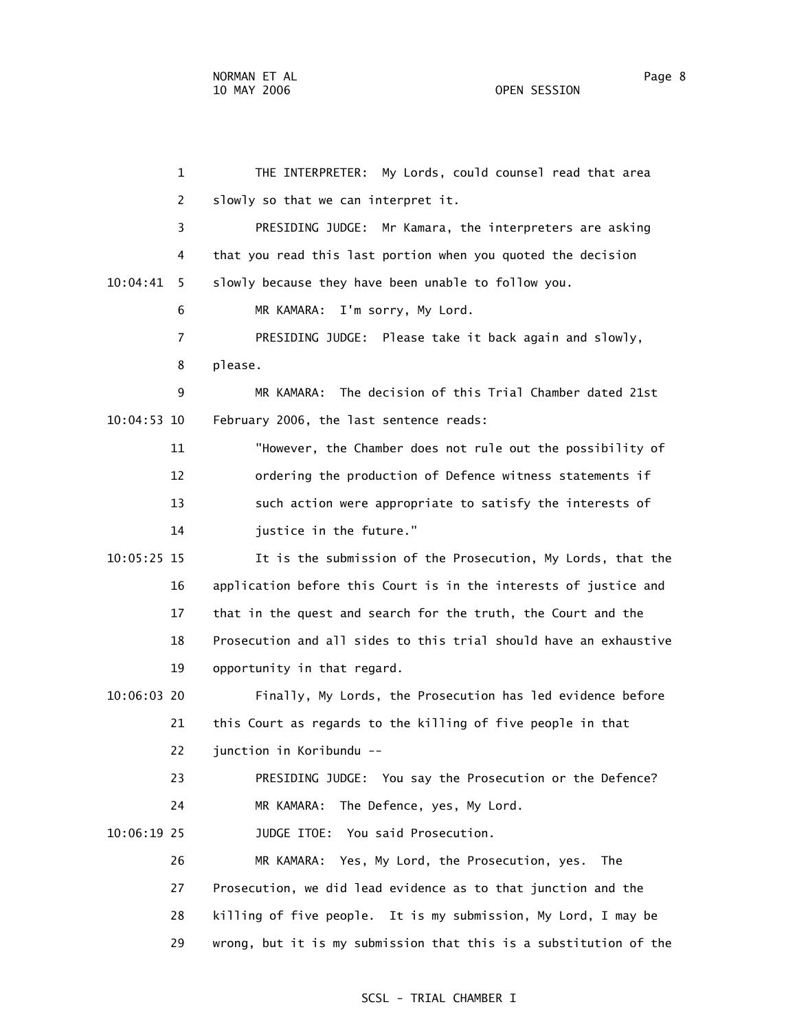1 THE INTERPRETER: My Lords, could counsel read that area 2 slowly so that we can interpret it. 3 PRESIDING JUDGE: Mr Kamara, the interpreters are asking 4 that you read this last portion when you quoted the decision 10:04:41 5 slowly because they have been unable to follow you. 6 MR KAMARA: I'm sorry, My Lord. 7 PRESIDING JUDGE: Please take it back again and slowly, 8 please. 9 MR KAMARA: The decision of this Trial Chamber dated 21st 10:04:53 10 February 2006, the last sentence reads: 11 "However, the Chamber does not rule out the possibility of 12 ordering the production of Defence witness statements if 13 such action were appropriate to satisfy the interests of 14 justice in the future." 10:05:25 15 It is the submission of the Prosecution, My Lords, that the 16 application before this Court is in the interests of justice and 17 that in the quest and search for the truth, the Court and the 18 Prosecution and all sides to this trial should have an exhaustive 19 opportunity in that regard. 10:06:03 20 Finally, My Lords, the Prosecution has led evidence before 21 this Court as regards to the killing of five people in that 22 junction in Koribundu -- 23 PRESIDING JUDGE: You say the Prosecution or the Defence? 24 MR KAMARA: The Defence, yes, My Lord. 10:06:19 25 JUDGE ITOE: You said Prosecution. 26 MR KAMARA: Yes, My Lord, the Prosecution, yes. The 27 Prosecution, we did lead evidence as to that junction and the 28 killing of five people. It is my submission, My Lord, I may be 29 wrong, but it is my submission that this is a substitution of the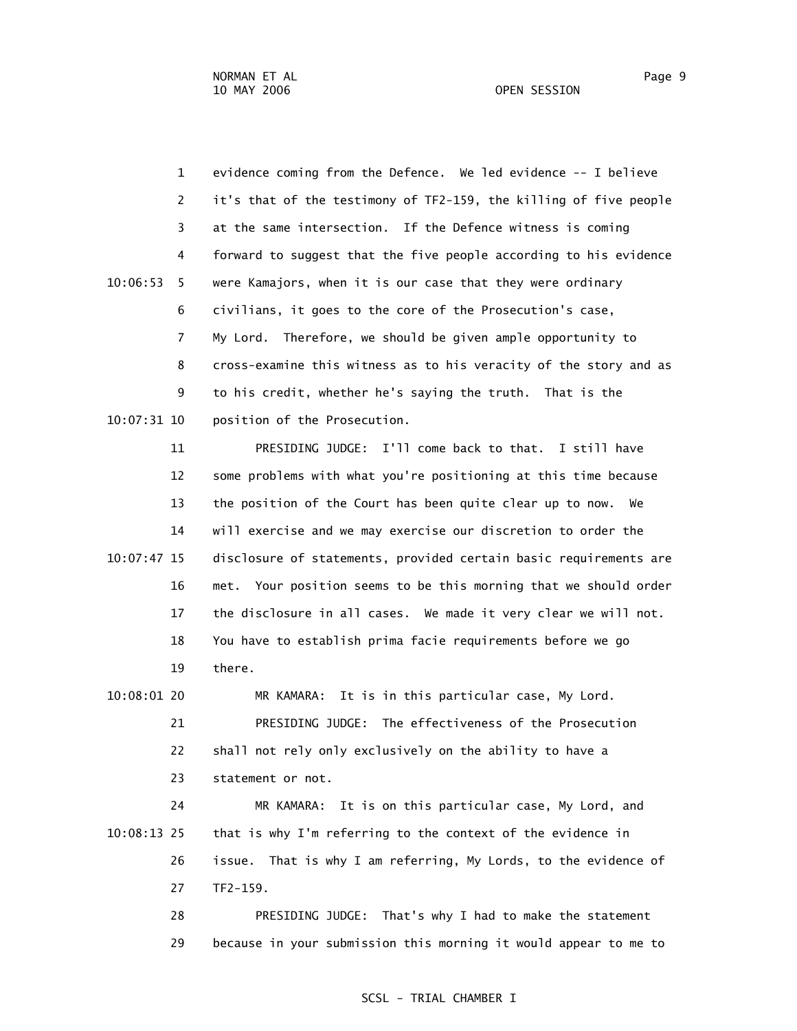1 evidence coming from the Defence. We led evidence -- I believe 2 it's that of the testimony of TF2-159, the killing of five people 3 at the same intersection. If the Defence witness is coming 4 forward to suggest that the five people according to his evidence 10:06:53 5 were Kamajors, when it is our case that they were ordinary 6 civilians, it goes to the core of the Prosecution's case, 7 My Lord. Therefore, we should be given ample opportunity to 8 cross-examine this witness as to his veracity of the story and as 9 to his credit, whether he's saying the truth. That is the 10:07:31 10 position of the Prosecution.

 11 PRESIDING JUDGE: I'll come back to that. I still have 12 some problems with what you're positioning at this time because 13 the position of the Court has been quite clear up to now. We 14 will exercise and we may exercise our discretion to order the 10:07:47 15 disclosure of statements, provided certain basic requirements are 16 met. Your position seems to be this morning that we should order 17 the disclosure in all cases. We made it very clear we will not. 18 You have to establish prima facie requirements before we go 19 there.

 10:08:01 20 MR KAMARA: It is in this particular case, My Lord. 21 PRESIDING JUDGE: The effectiveness of the Prosecution 22 shall not rely only exclusively on the ability to have a 23 statement or not.

 24 MR KAMARA: It is on this particular case, My Lord, and 10:08:13 25 that is why I'm referring to the context of the evidence in 26 issue. That is why I am referring, My Lords, to the evidence of 27 TF2-159.

> 28 PRESIDING JUDGE: That's why I had to make the statement 29 because in your submission this morning it would appear to me to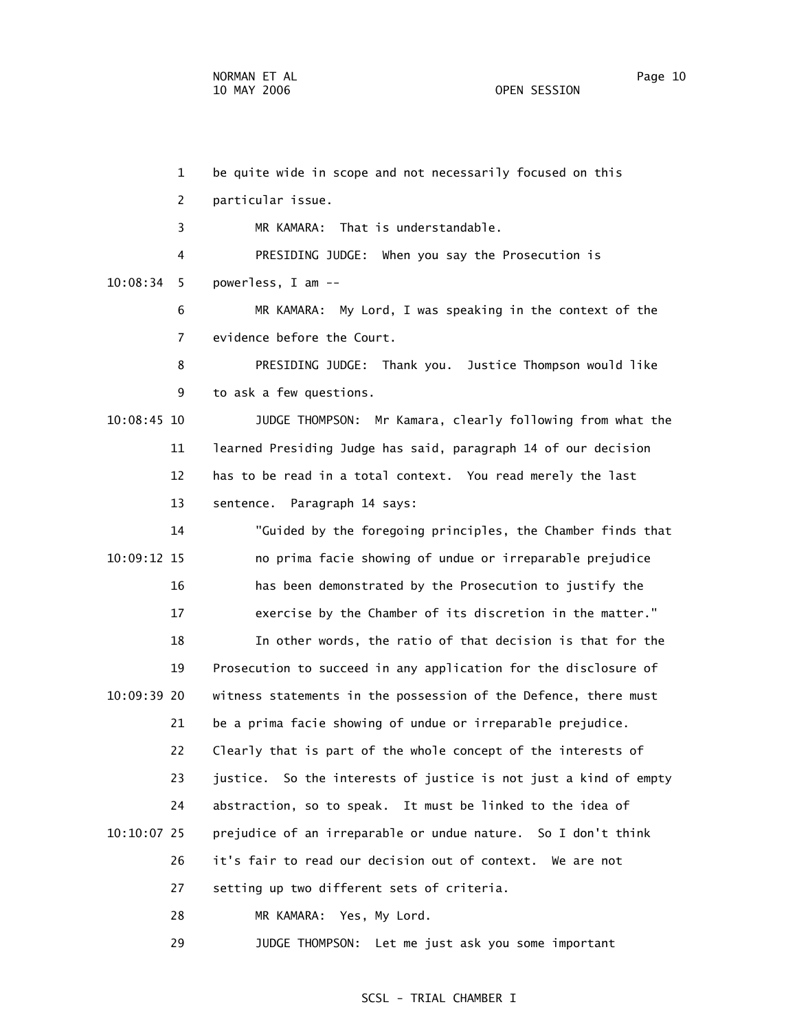1 be quite wide in scope and not necessarily focused on this 2 particular issue. 3 MR KAMARA: That is understandable. 4 PRESIDING JUDGE: When you say the Prosecution is 10:08:34 5 powerless, I am -- 6 MR KAMARA: My Lord, I was speaking in the context of the 7 evidence before the Court. 8 PRESIDING JUDGE: Thank you. Justice Thompson would like 9 to ask a few questions. 10:08:45 10 JUDGE THOMPSON: Mr Kamara, clearly following from what the 11 learned Presiding Judge has said, paragraph 14 of our decision 12 has to be read in a total context. You read merely the last 13 sentence. Paragraph 14 says: 14 "Guided by the foregoing principles, the Chamber finds that 10:09:12 15 no prima facie showing of undue or irreparable prejudice 16 has been demonstrated by the Prosecution to justify the 17 exercise by the Chamber of its discretion in the matter." 18 In other words, the ratio of that decision is that for the 19 Prosecution to succeed in any application for the disclosure of 10:09:39 20 witness statements in the possession of the Defence, there must 21 be a prima facie showing of undue or irreparable prejudice. 22 Clearly that is part of the whole concept of the interests of 23 justice. So the interests of justice is not just a kind of empty 24 abstraction, so to speak. It must be linked to the idea of 10:10:07 25 prejudice of an irreparable or undue nature. So I don't think 26 it's fair to read our decision out of context. We are not 27 setting up two different sets of criteria. 28 MR KAMARA: Yes, My Lord.

29 JUDGE THOMPSON: Let me just ask you some important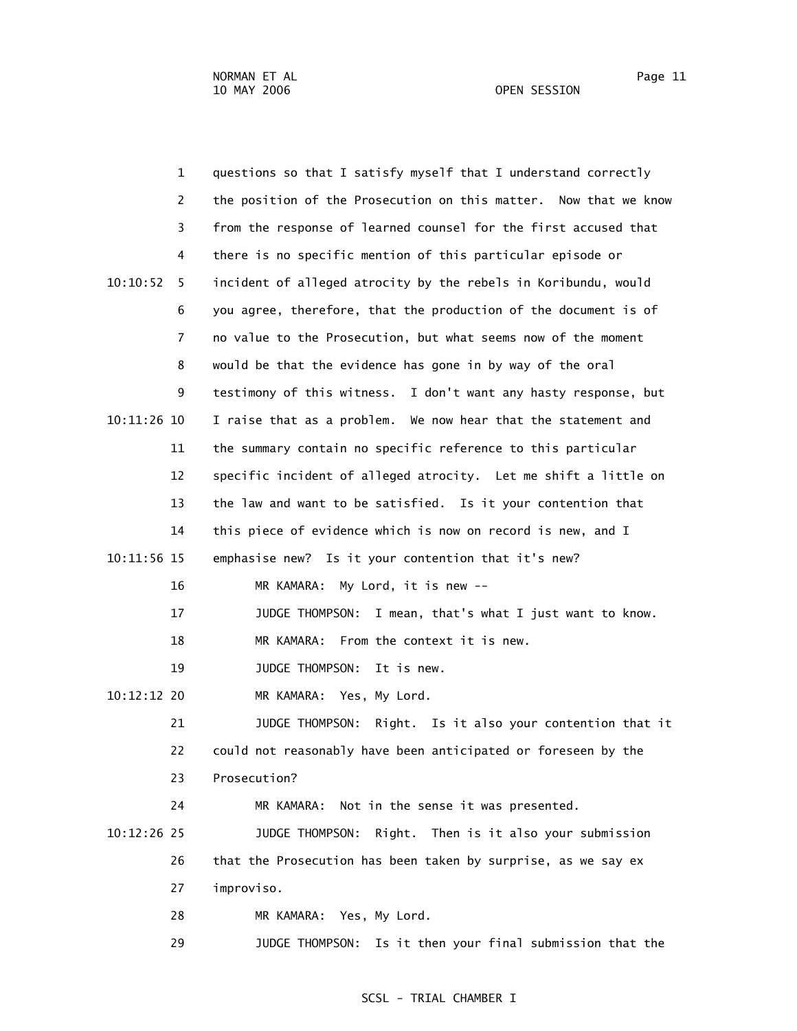1 questions so that I satisfy myself that I understand correctly 2 the position of the Prosecution on this matter. Now that we know 3 from the response of learned counsel for the first accused that 4 there is no specific mention of this particular episode or 10:10:52 5 incident of alleged atrocity by the rebels in Koribundu, would 6 you agree, therefore, that the production of the document is of 7 no value to the Prosecution, but what seems now of the moment 8 would be that the evidence has gone in by way of the oral 9 testimony of this witness. I don't want any hasty response, but 10:11:26 10 I raise that as a problem. We now hear that the statement and 11 the summary contain no specific reference to this particular 12 specific incident of alleged atrocity. Let me shift a little on 13 the law and want to be satisfied. Is it your contention that 14 this piece of evidence which is now on record is new, and I 10:11:56 15 emphasise new? Is it your contention that it's new? 16 MR KAMARA: My Lord, it is new -- 17 JUDGE THOMPSON: I mean, that's what I just want to know. 18 MR KAMARA: From the context it is new. 19 JUDGE THOMPSON: It is new. 10:12:12 20 MR KAMARA: Yes, My Lord. 21 JUDGE THOMPSON: Right. Is it also your contention that it 22 could not reasonably have been anticipated or foreseen by the 23 Prosecution? 24 MR KAMARA: Not in the sense it was presented. 10:12:26 25 JUDGE THOMPSON: Right. Then is it also your submission 26 that the Prosecution has been taken by surprise, as we say ex 27 improviso. 28 MR KAMARA: Yes, My Lord. 29 JUDGE THOMPSON: Is it then your final submission that the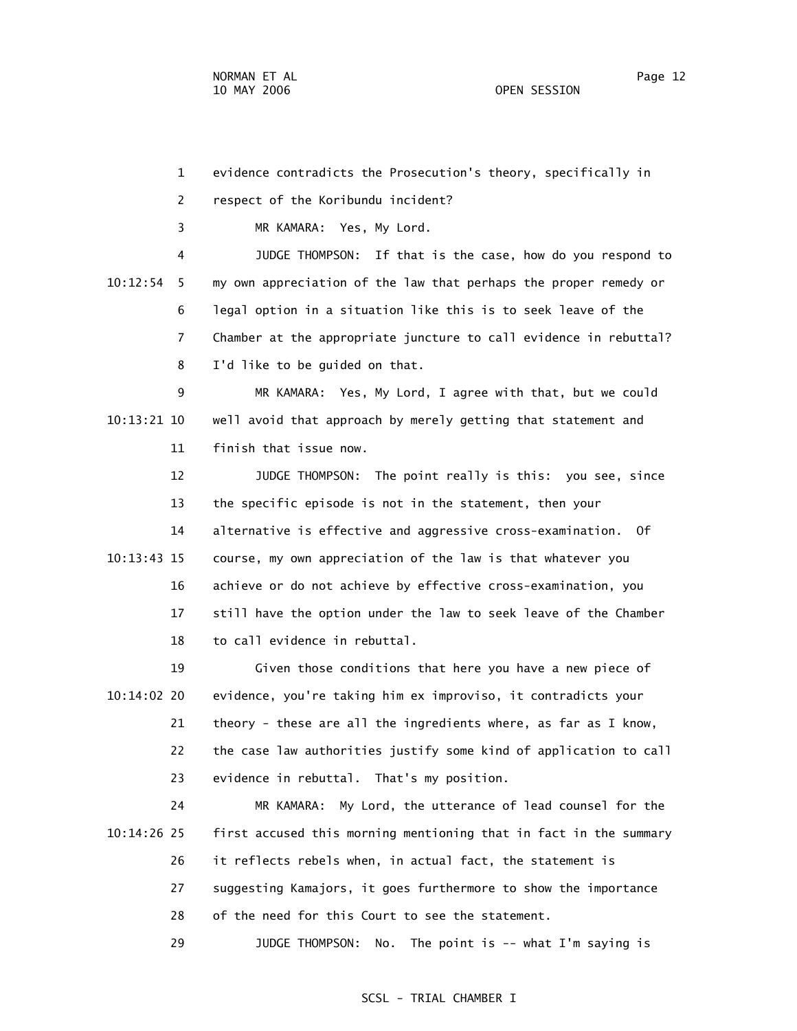1 evidence contradicts the Prosecution's theory, specifically in 2 respect of the Koribundu incident? 4 JUDGE THOMPSON: If that is the case, how do you respond to 10:12:54 5 my own appreciation of the law that perhaps the proper remedy or 6 legal option in a situation like this is to seek leave of the 7 Chamber at the appropriate juncture to call evidence in rebuttal? 8 I'd like to be guided on that. 9 MR KAMARA: Yes, My Lord, I agree with that, but we could 10:13:21 10 well avoid that approach by merely getting that statement and 11 finish that issue now.

 12 JUDGE THOMPSON: The point really is this: you see, since 13 the specific episode is not in the statement, then your 14 alternative is effective and aggressive cross-examination. Of 10:13:43 15 course, my own appreciation of the law is that whatever you 16 achieve or do not achieve by effective cross-examination, you 17 still have the option under the law to seek leave of the Chamber 18 to call evidence in rebuttal.

 19 Given those conditions that here you have a new piece of 10:14:02 20 evidence, you're taking him ex improviso, it contradicts your 21 theory - these are all the ingredients where, as far as I know, 22 the case law authorities justify some kind of application to call 23 evidence in rebuttal. That's my position.

 24 MR KAMARA: My Lord, the utterance of lead counsel for the 10:14:26 25 first accused this morning mentioning that in fact in the summary 26 it reflects rebels when, in actual fact, the statement is 27 suggesting Kamajors, it goes furthermore to show the importance 28 of the need for this Court to see the statement. 29 JUDGE THOMPSON: No. The point is -- what I'm saying is

## SCSL - TRIAL CHAMBER I

3 MR KAMARA: Yes, My Lord.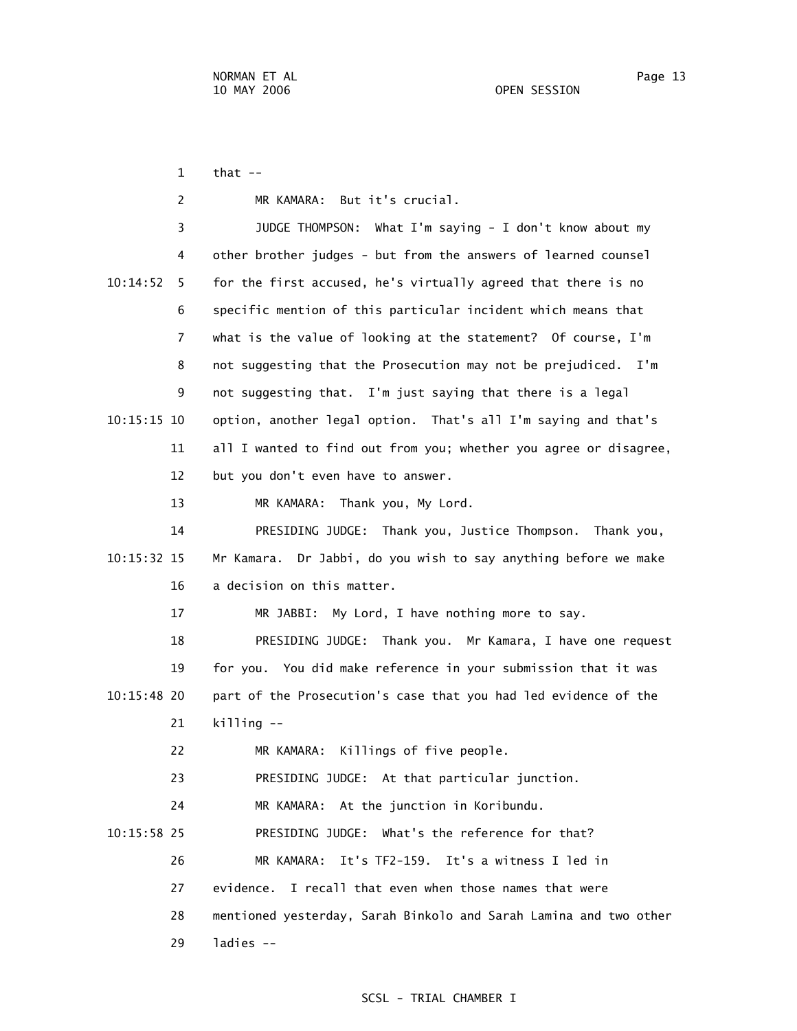$1$  that  $-$  2 MR KAMARA: But it's crucial. 3 JUDGE THOMPSON: What I'm saying - I don't know about my 4 other brother judges - but from the answers of learned counsel 10:14:52 5 for the first accused, he's virtually agreed that there is no 6 specific mention of this particular incident which means that 7 what is the value of looking at the statement? Of course, I'm 8 not suggesting that the Prosecution may not be prejudiced. I'm 9 not suggesting that. I'm just saying that there is a legal 10:15:15 10 option, another legal option. That's all I'm saying and that's 11 all I wanted to find out from you; whether you agree or disagree, 12 but you don't even have to answer. 13 MR KAMARA: Thank you, My Lord. 14 PRESIDING JUDGE: Thank you, Justice Thompson. Thank you, 10:15:32 15 Mr Kamara. Dr Jabbi, do you wish to say anything before we make 16 a decision on this matter. 17 MR JABBI: My Lord, I have nothing more to say. 18 PRESIDING JUDGE: Thank you. Mr Kamara, I have one request 19 for you. You did make reference in your submission that it was 10:15:48 20 part of the Prosecution's case that you had led evidence of the 21 killing -- 22 MR KAMARA: Killings of five people. 23 PRESIDING JUDGE: At that particular junction. 24 MR KAMARA: At the junction in Koribundu. 10:15:58 25 PRESIDING JUDGE: What's the reference for that? 26 MR KAMARA: It's TF2-159. It's a witness I led in 27 evidence. I recall that even when those names that were 28 mentioned yesterday, Sarah Binkolo and Sarah Lamina and two other

29 ladies --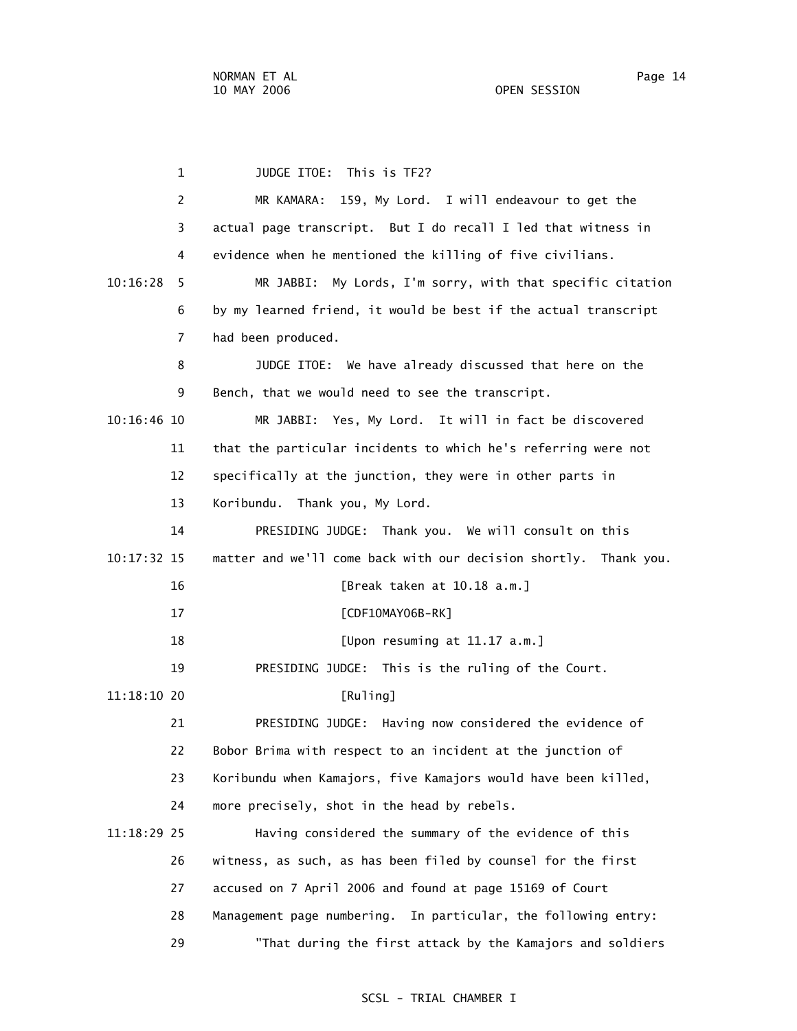1 JUDGE ITOE: This is TF2? 2 MR KAMARA: 159, My Lord. I will endeavour to get the 3 actual page transcript. But I do recall I led that witness in 4 evidence when he mentioned the killing of five civilians. 10:16:28 5 MR JABBI: My Lords, I'm sorry, with that specific citation 6 by my learned friend, it would be best if the actual transcript 7 had been produced. 8 JUDGE ITOE: We have already discussed that here on the 9 Bench, that we would need to see the transcript. 10:16:46 10 MR JABBI: Yes, My Lord. It will in fact be discovered 11 that the particular incidents to which he's referring were not 12 specifically at the junction, they were in other parts in 13 Koribundu. Thank you, My Lord. 14 PRESIDING JUDGE: Thank you. We will consult on this 10:17:32 15 matter and we'll come back with our decision shortly. Thank you. 16 [Break taken at 10.18 a.m.] 17 [CDF10MAY06B-RK] 18 [Upon resuming at 11.17 a.m.] 19 PRESIDING JUDGE: This is the ruling of the Court. 11:18:10 20 [Ruling] 21 PRESIDING JUDGE: Having now considered the evidence of 22 Bobor Brima with respect to an incident at the junction of 23 Koribundu when Kamajors, five Kamajors would have been killed, 24 more precisely, shot in the head by rebels. 11:18:29 25 Having considered the summary of the evidence of this 26 witness, as such, as has been filed by counsel for the first 27 accused on 7 April 2006 and found at page 15169 of Court 28 Management page numbering. In particular, the following entry: 29 "That during the first attack by the Kamajors and soldiers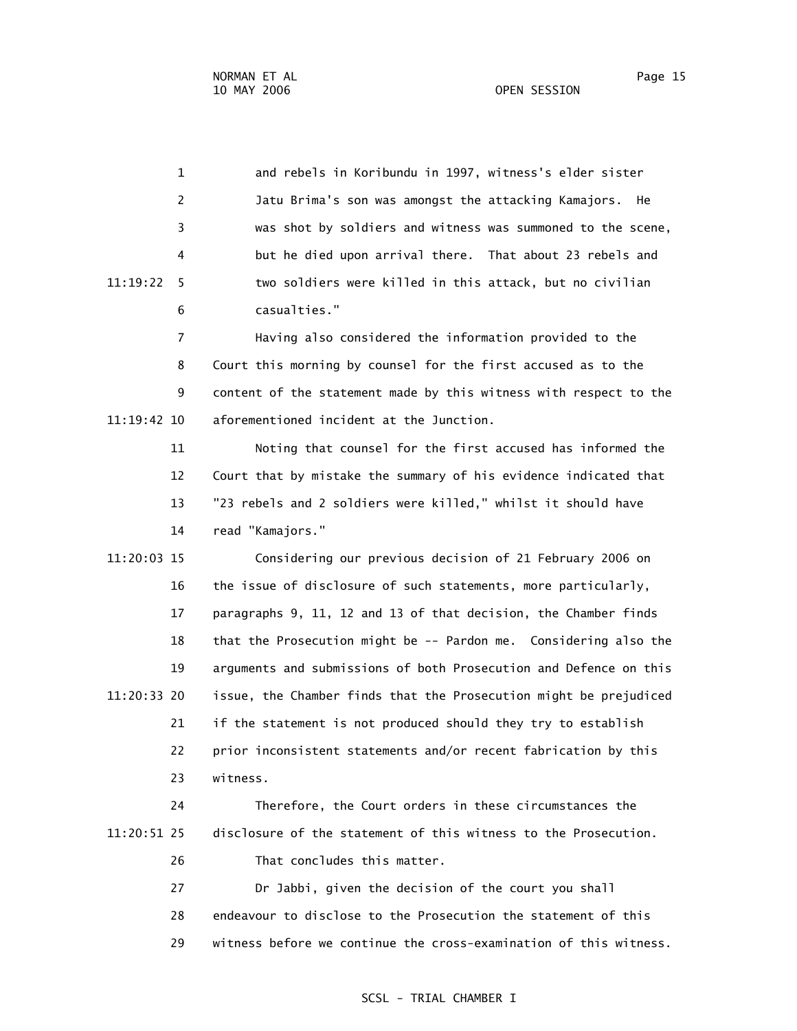1 and rebels in Koribundu in 1997, witness's elder sister 2 Jatu Brima's son was amongst the attacking Kamajors. He 3 was shot by soldiers and witness was summoned to the scene, 4 but he died upon arrival there. That about 23 rebels and 11:19:22 5 two soldiers were killed in this attack, but no civilian 6 casualties." 7 Having also considered the information provided to the 8 Court this morning by counsel for the first accused as to the 9 content of the statement made by this witness with respect to the 11:19:42 10 aforementioned incident at the Junction. 11 Noting that counsel for the first accused has informed the 12 Court that by mistake the summary of his evidence indicated that 13 "23 rebels and 2 soldiers were killed," whilst it should have 14 read "Kamajors." 11:20:03 15 Considering our previous decision of 21 February 2006 on 16 the issue of disclosure of such statements, more particularly, 17 paragraphs 9, 11, 12 and 13 of that decision, the Chamber finds 18 that the Prosecution might be -- Pardon me. Considering also the 19 arguments and submissions of both Prosecution and Defence on this 11:20:33 20 issue, the Chamber finds that the Prosecution might be prejudiced 21 if the statement is not produced should they try to establish 22 prior inconsistent statements and/or recent fabrication by this 23 witness. 24 Therefore, the Court orders in these circumstances the 11:20:51 25 disclosure of the statement of this witness to the Prosecution. 26 That concludes this matter. 27 Dr Jabbi, given the decision of the court you shall

> 28 endeavour to disclose to the Prosecution the statement of this 29 witness before we continue the cross-examination of this witness.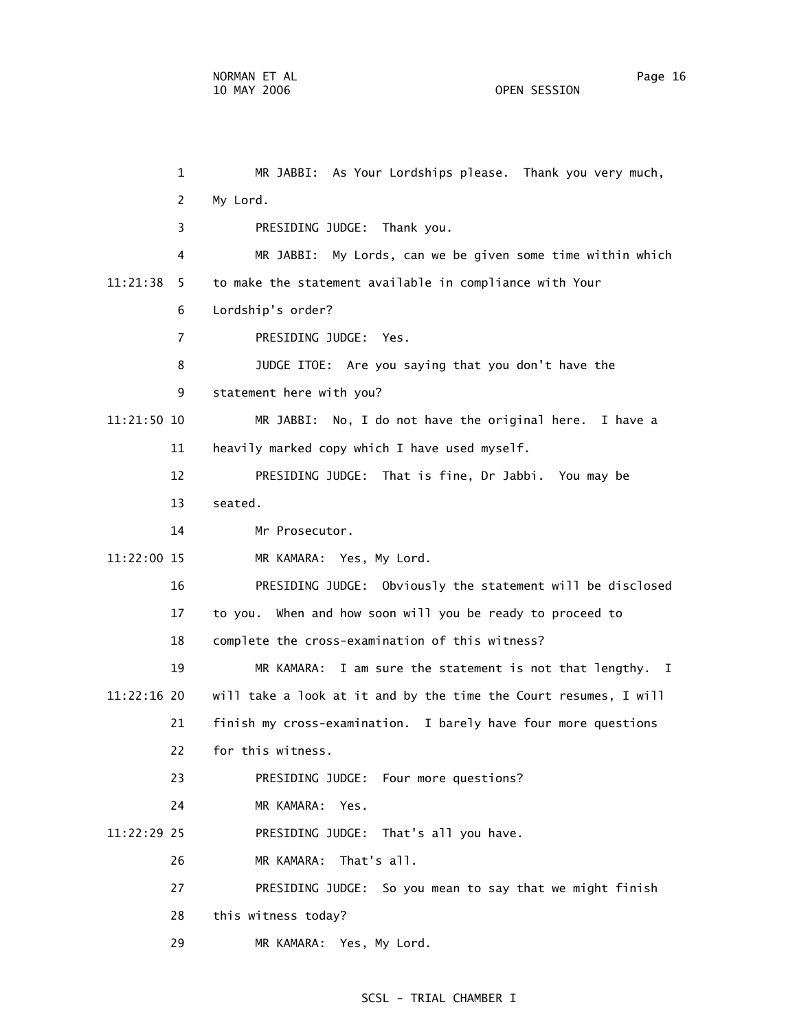1 MR JABBI: As Your Lordships please. Thank you very much, 2 My Lord. 3 PRESIDING JUDGE: Thank you. 4 MR JABBI: My Lords, can we be given some time within which 11:21:38 5 to make the statement available in compliance with Your 6 Lordship's order? 7 PRESIDING JUDGE: Yes. 8 JUDGE ITOE: Are you saying that you don't have the 9 statement here with you? 11:21:50 10 MR JABBI: No, I do not have the original here. I have a 11 heavily marked copy which I have used myself. 12 PRESIDING JUDGE: That is fine, Dr Jabbi. You may be 13 seated. 14 Mr Prosecutor. 11:22:00 15 MR KAMARA: Yes, My Lord. 16 PRESIDING JUDGE: Obviously the statement will be disclosed 17 to you. When and how soon will you be ready to proceed to 18 complete the cross-examination of this witness? 19 MR KAMARA: I am sure the statement is not that lengthy. I 11:22:16 20 will take a look at it and by the time the Court resumes, I will 21 finish my cross-examination. I barely have four more questions 22 for this witness. 23 PRESIDING JUDGE: Four more questions? 24 MR KAMARA: Yes. 11:22:29 25 PRESIDING JUDGE: That's all you have. 26 MR KAMARA: That's all. 27 PRESIDING JUDGE: So you mean to say that we might finish 28 this witness today? 29 MR KAMARA: Yes, My Lord.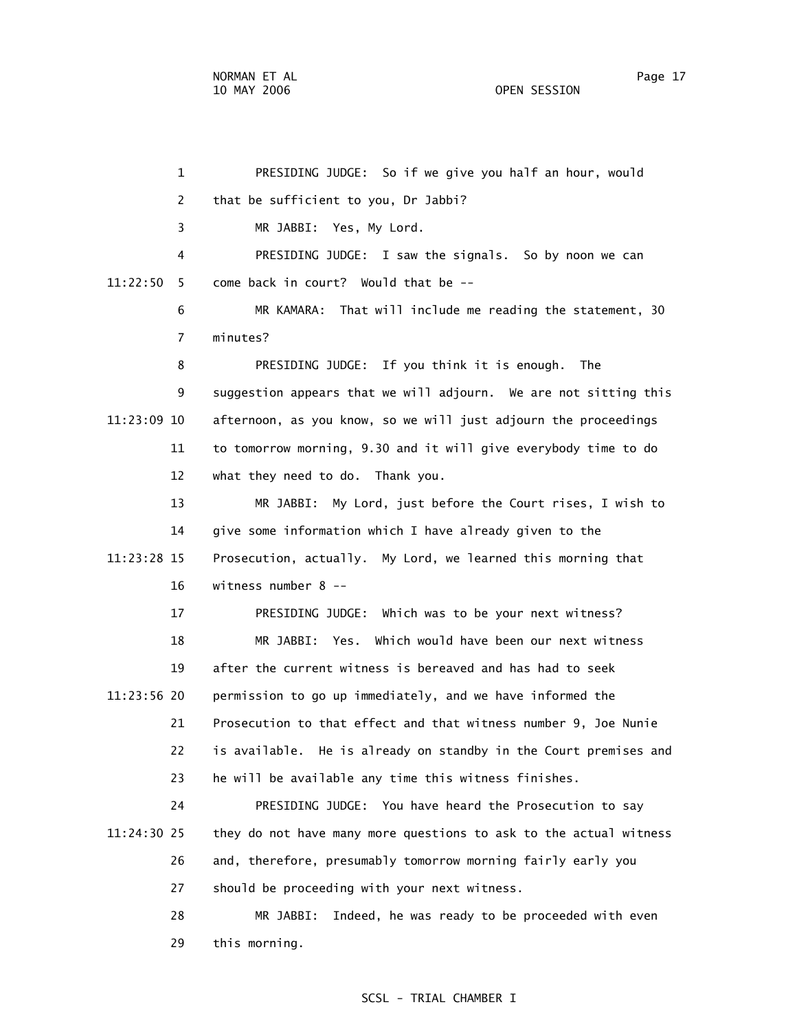1 PRESIDING JUDGE: So if we give you half an hour, would 2 that be sufficient to you, Dr Jabbi? 3 MR JABBI: Yes, My Lord. 4 PRESIDING JUDGE: I saw the signals. So by noon we can 11:22:50 5 come back in court? Would that be -- 6 MR KAMARA: That will include me reading the statement, 30 7 minutes? 8 PRESIDING JUDGE: If you think it is enough. The 9 suggestion appears that we will adjourn. We are not sitting this 11:23:09 10 afternoon, as you know, so we will just adjourn the proceedings 11 to tomorrow morning, 9.30 and it will give everybody time to do 12 what they need to do. Thank you. 13 MR JABBI: My Lord, just before the Court rises, I wish to 14 give some information which I have already given to the 11:23:28 15 Prosecution, actually. My Lord, we learned this morning that 16 witness number 8 -- 17 PRESIDING JUDGE: Which was to be your next witness? 18 MR JABBI: Yes. Which would have been our next witness 19 after the current witness is bereaved and has had to seek 11:23:56 20 permission to go up immediately, and we have informed the 21 Prosecution to that effect and that witness number 9, Joe Nunie 22 is available. He is already on standby in the Court premises and 23 he will be available any time this witness finishes. 24 PRESIDING JUDGE: You have heard the Prosecution to say 11:24:30 25 they do not have many more questions to ask to the actual witness 26 and, therefore, presumably tomorrow morning fairly early you 27 should be proceeding with your next witness. 28 MR JABBI: Indeed, he was ready to be proceeded with even 29 this morning.